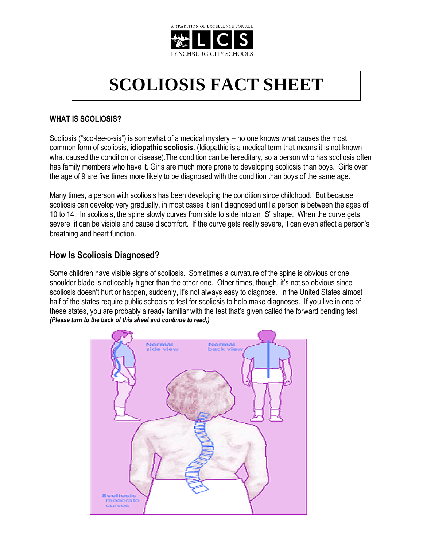

# **SCOLIOSIS FACT SHEET**

#### **WHAT IS SCOLIOSIS?**

Scoliosis ("sco-lee-o-sis") is somewhat of a medical mystery – no one knows what causes the most common form of scoliosis, **idiopathic scoliosis.** (Idiopathic is a medical term that means it is not known what caused the condition or disease). The condition can be hereditary, so a person who has scoliosis often has family members who have it. Girls are much more prone to developing scoliosis than boys. Girls over the age of 9 are five times more likely to be diagnosed with the condition than boys of the same age.

Many times, a person with scoliosis has been developing the condition since childhood. But because scoliosis can develop very gradually, in most cases it isn't diagnosed until a person is between the ages of 10 to 14. In scoliosis, the spine slowly curves from side to side into an "S" shape. When the curve gets severe, it can be visible and cause discomfort. If the curve gets really severe, it can even affect a person's breathing and heart function.

### **How Is Scoliosis Diagnosed?**

Some children have visible signs of scoliosis. Sometimes a curvature of the spine is obvious or one shoulder blade is noticeably higher than the other one. Other times, though, it's not so obvious since scoliosis doesn't hurt or happen, suddenly, it's not always easy to diagnose. In the United States almost half of the states require public schools to test for scoliosis to help make diagnoses. If you live in one of these states, you are probably already familiar with the test that's given called the forward bending test. *(Please turn to the back of this sheet and continue to read,)*